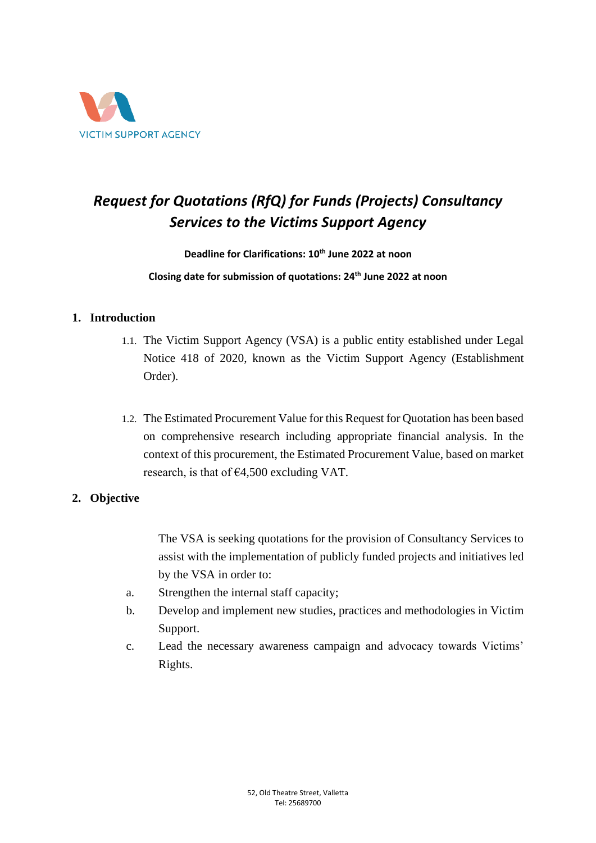

# *Request for Quotations (RfQ) for Funds (Projects) Consultancy Services to the Victims Support Agency*

#### **Deadline for Clarifications: 10th June 2022 at noon**

#### **Closing date for submission of quotations: 24th June 2022 at noon**

#### **1. Introduction**

- 1.1. The Victim Support Agency (VSA) is a public entity established under Legal Notice 418 of 2020, known as the Victim Support Agency (Establishment Order).
- 1.2. The Estimated Procurement Value for this Request for Quotation has been based on comprehensive research including appropriate financial analysis. In the context of this procurement, the Estimated Procurement Value, based on market research, is that of  $\epsilon$ 4,500 excluding VAT.

#### **2. Objective**

The VSA is seeking quotations for the provision of Consultancy Services to assist with the implementation of publicly funded projects and initiatives led by the VSA in order to:

- a. Strengthen the internal staff capacity;
- b. Develop and implement new studies, practices and methodologies in Victim Support.
- c. Lead the necessary awareness campaign and advocacy towards Victims' Rights.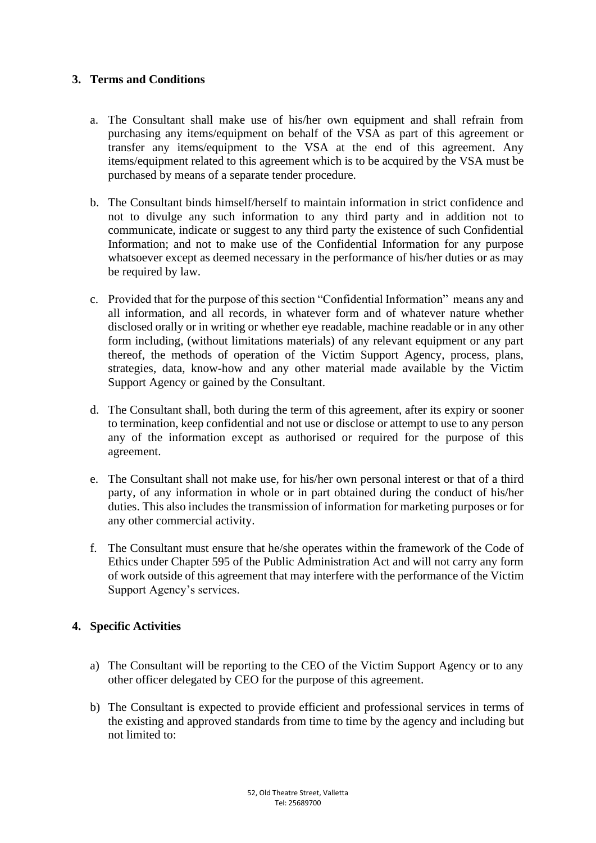#### **3. Terms and Conditions**

- a. The Consultant shall make use of his/her own equipment and shall refrain from purchasing any items/equipment on behalf of the VSA as part of this agreement or transfer any items/equipment to the VSA at the end of this agreement. Any items/equipment related to this agreement which is to be acquired by the VSA must be purchased by means of a separate tender procedure.
- b. The Consultant binds himself/herself to maintain information in strict confidence and not to divulge any such information to any third party and in addition not to communicate, indicate or suggest to any third party the existence of such Confidential Information; and not to make use of the Confidential Information for any purpose whatsoever except as deemed necessary in the performance of his/her duties or as may be required by law.
- c. Provided that for the purpose of this section "Confidential Information" means any and all information, and all records, in whatever form and of whatever nature whether disclosed orally or in writing or whether eye readable, machine readable or in any other form including, (without limitations materials) of any relevant equipment or any part thereof, the methods of operation of the Victim Support Agency, process, plans, strategies, data, know-how and any other material made available by the Victim Support Agency or gained by the Consultant.
- d. The Consultant shall, both during the term of this agreement, after its expiry or sooner to termination, keep confidential and not use or disclose or attempt to use to any person any of the information except as authorised or required for the purpose of this agreement.
- e. The Consultant shall not make use, for his/her own personal interest or that of a third party, of any information in whole or in part obtained during the conduct of his/her duties. This also includes the transmission of information for marketing purposes or for any other commercial activity.
- f. The Consultant must ensure that he/she operates within the framework of the Code of Ethics under Chapter 595 of the Public Administration Act and will not carry any form of work outside of this agreement that may interfere with the performance of the Victim Support Agency's services.

#### **4. Specific Activities**

- a) The Consultant will be reporting to the CEO of the Victim Support Agency or to any other officer delegated by CEO for the purpose of this agreement.
- b) The Consultant is expected to provide efficient and professional services in terms of the existing and approved standards from time to time by the agency and including but not limited to: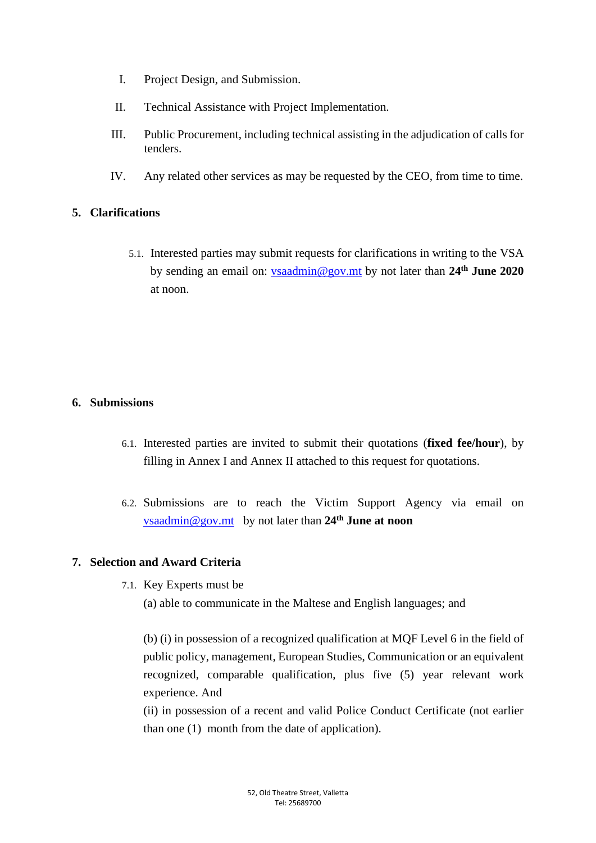- I. Project Design, and Submission.
- II. Technical Assistance with Project Implementation.
- III. Public Procurement, including technical assisting in the adjudication of calls for tenders.
- IV. Any related other services as may be requested by the CEO, from time to time.

#### **5. Clarifications**

5.1. Interested parties may submit requests for clarifications in writing to the VSA by sending an email on: [vsaadmin@gov.mt](mailto:vsaadmin@gov.mt) by not later than **24 th June 2020** at noon.

#### **6. Submissions**

- 6.1. Interested parties are invited to submit their quotations (**fixed fee/hour**), by filling in Annex I and Annex II attached to this request for quotations.
- 6.2. Submissions are to reach the Victim Support Agency via email on [vsaadmin@gov.mt](mailto:vsaadmin@gov.mt) by not later than **24 th June at noon**

#### **7. Selection and Award Criteria**

7.1. Key Experts must be

(a) able to communicate in the Maltese and English languages; and

(b) (i) in possession of a recognized qualification at MQF Level 6 in the field of public policy, management, European Studies, Communication or an equivalent recognized, comparable qualification, plus five (5) year relevant work experience. And

(ii) in possession of a recent and valid Police Conduct Certificate (not earlier than one (1) month from the date of application).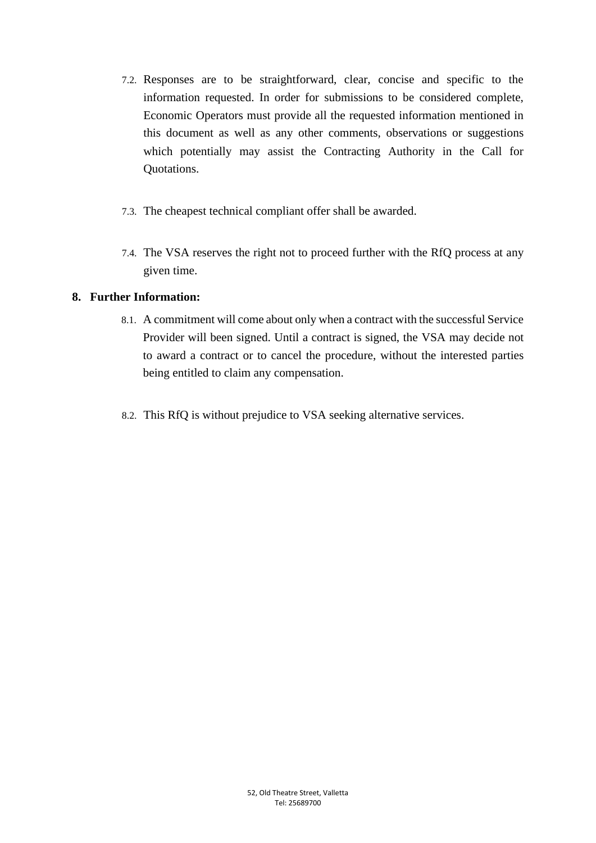- 7.2. Responses are to be straightforward, clear, concise and specific to the information requested. In order for submissions to be considered complete, Economic Operators must provide all the requested information mentioned in this document as well as any other comments, observations or suggestions which potentially may assist the Contracting Authority in the Call for Quotations.
- 7.3. The cheapest technical compliant offer shall be awarded.
- 7.4. The VSA reserves the right not to proceed further with the RfQ process at any given time.

#### **8. Further Information:**

- 8.1. A commitment will come about only when a contract with the successful Service Provider will been signed. Until a contract is signed, the VSA may decide not to award a contract or to cancel the procedure, without the interested parties being entitled to claim any compensation.
- 8.2. This RfQ is without prejudice to VSA seeking alternative services.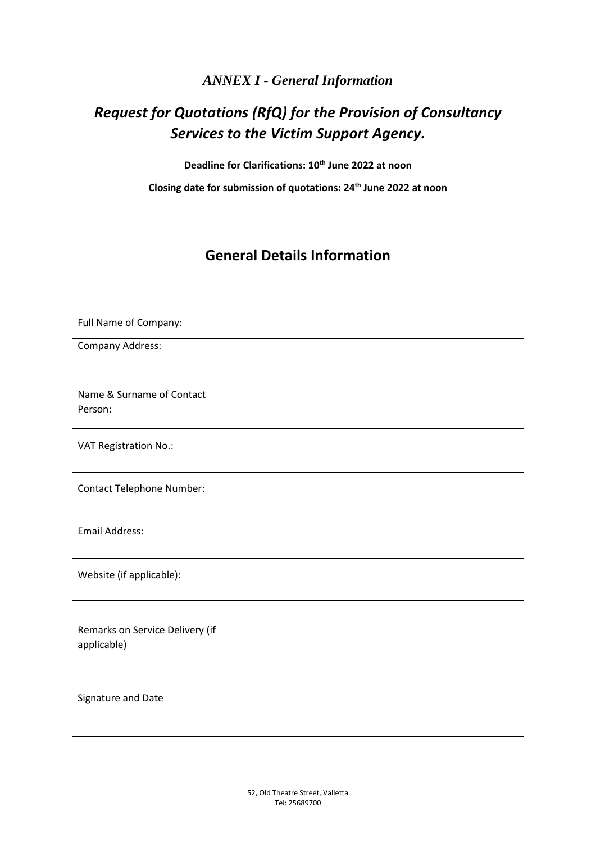### *ANNEX I - General Information*

# *Request for Quotations (RfQ) for the Provision of Consultancy Services to the Victim Support Agency.*

**Deadline for Clarifications: 10th June 2022 at noon**

**Closing date for submission of quotations: 24 th June 2022 at noon**

| <b>General Details Information</b>             |  |  |  |
|------------------------------------------------|--|--|--|
| Full Name of Company:                          |  |  |  |
| <b>Company Address:</b>                        |  |  |  |
| Name & Surname of Contact<br>Person:           |  |  |  |
| VAT Registration No.:                          |  |  |  |
| <b>Contact Telephone Number:</b>               |  |  |  |
| <b>Email Address:</b>                          |  |  |  |
| Website (if applicable):                       |  |  |  |
| Remarks on Service Delivery (if<br>applicable) |  |  |  |
| Signature and Date                             |  |  |  |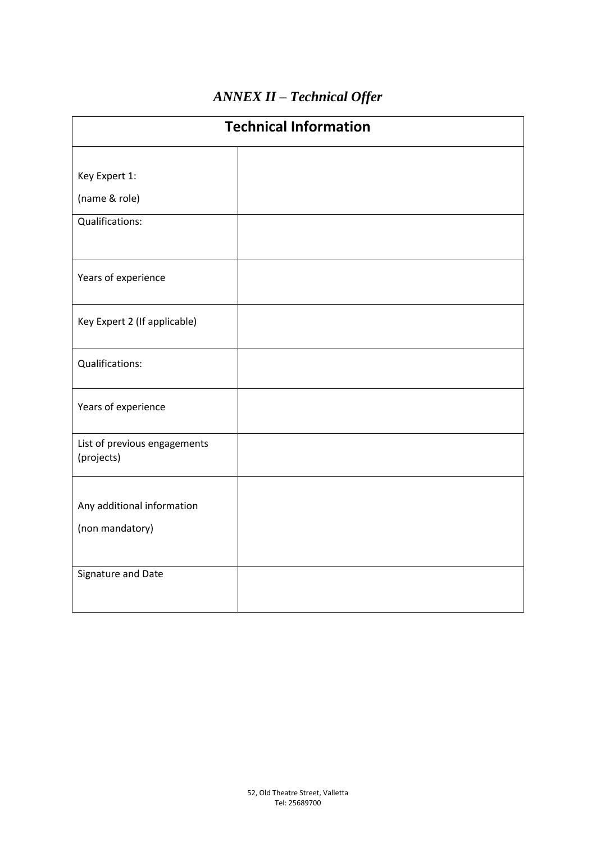## *ANNEX II – Technical Offer*

| <b>Technical Information</b>               |  |  |  |
|--------------------------------------------|--|--|--|
|                                            |  |  |  |
| Key Expert 1:                              |  |  |  |
| (name & role)                              |  |  |  |
| Qualifications:                            |  |  |  |
| Years of experience                        |  |  |  |
| Key Expert 2 (If applicable)               |  |  |  |
| Qualifications:                            |  |  |  |
| Years of experience                        |  |  |  |
| List of previous engagements<br>(projects) |  |  |  |
| Any additional information                 |  |  |  |
| (non mandatory)                            |  |  |  |
| Signature and Date                         |  |  |  |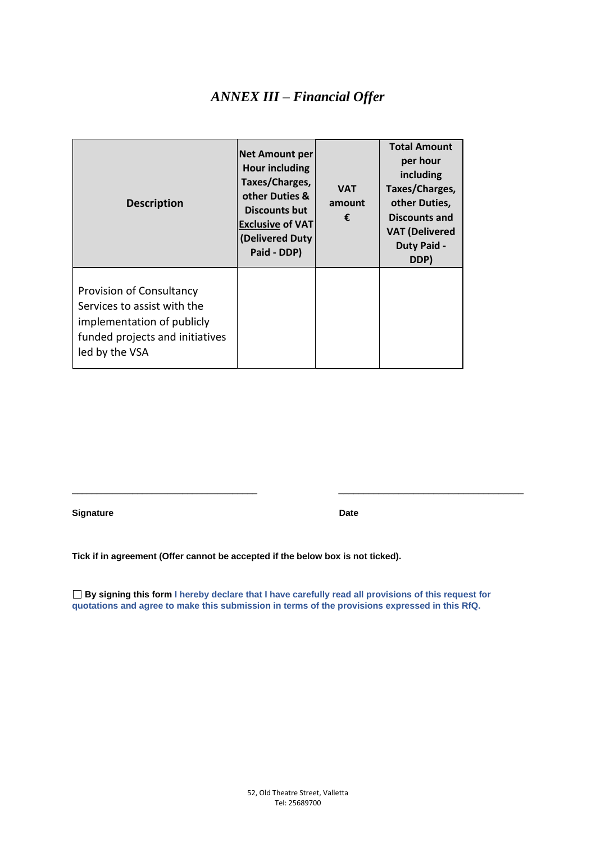### *ANNEX III – Financial Offer*

| <b>Description</b>                                                                                                                         | <b>Net Amount per</b><br>Hour including<br>Taxes/Charges,<br>other Duties &<br><b>Discounts but</b><br><b>Exclusive of VAT</b><br>(Delivered Duty<br>Paid - DDP) | <b>VAT</b><br>amount<br>€ | <b>Total Amount</b><br>per hour<br>including<br>Taxes/Charges,<br>other Duties,<br><b>Discounts and</b><br><b>VAT (Delivered</b><br><b>Duty Paid -</b><br>DDP) |
|--------------------------------------------------------------------------------------------------------------------------------------------|------------------------------------------------------------------------------------------------------------------------------------------------------------------|---------------------------|----------------------------------------------------------------------------------------------------------------------------------------------------------------|
| Provision of Consultancy<br>Services to assist with the<br>implementation of publicly<br>funded projects and initiatives<br>led by the VSA |                                                                                                                                                                  |                           |                                                                                                                                                                |

**Signature Date** 

**Tick if in agreement (Offer cannot be accepted if the below box is not ticked).**

**By signing this form I hereby declare that I have carefully read all provisions of this request for quotations and agree to make this submission in terms of the provisions expressed in this RfQ.**

\_\_\_\_\_\_\_\_\_\_\_\_\_\_\_\_\_\_\_\_\_\_\_\_\_\_\_\_\_\_\_\_\_\_\_\_\_ \_\_\_\_\_\_\_\_\_\_\_\_\_\_\_\_\_\_\_\_\_\_\_\_\_\_\_\_\_\_\_\_\_\_\_\_\_